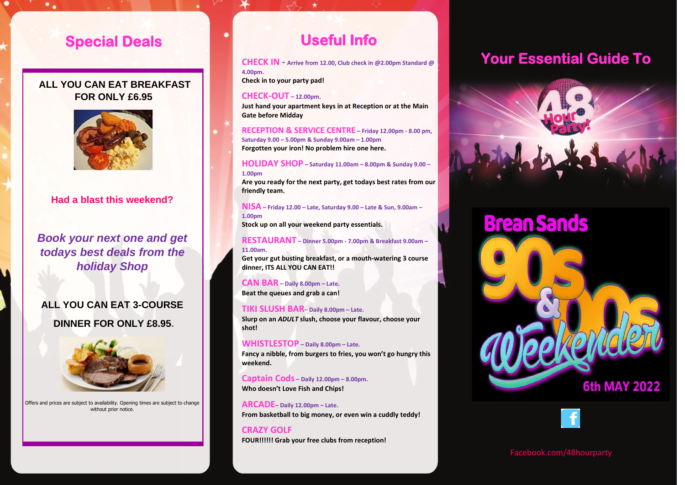### **Special Deals**

**CHECK IN – From 12.00pm Check in to your party pad!**

#### **COUT ALL TOO UAN LA Just 10 SEP ONLY £6.95 ALL YOU CAN EAT BREAKFAST**



### **Had a blast this weekend?**

#### **Book your next one and get CAN BAR Beat deals from the TIKI** *holiday Shop*

#### **SNACK SHACK ALL YOU CAN EAT 3-COURSE Fancy a nibble, from burgers to fries, you won't go DINNER FOR ONLY £8.95.**

**Slurp on an** *ADULT* **slush, choose your flavour, choose** 



Offers and prices are subject to availability. Opening times are subject to change **Grab your speedos and bikinis!**  without prior notice.

**ALL OPENING TIMES ARE DISPLAYED ON SITE**

### **Useful Info**

**CHECK IN - Arrive from 12.00, Club check in @2.00pm Standard @ 4.00pm.**

**Check in to your party pad!**

#### **CHECK-OUT – 12.00pm.**

**Just hand your apartment keys in at Reception or at the Main Gate before Midday**

**RECEPTION & SERVICE CENTRE – Friday 12.00pm - 8.00 pm, Saturday 9.00 – 5.00pm & Sunday 9.00am – 1.00pm Forgotten your iron! No problem hire one here.**

**HOLIDAY SHOP – Saturday 11.00am – 8.00pm & Sunday 9.00 – 1.00pm**

**Are you ready for the next party, get todays best rates from our friendly team.**

**NISA – Friday 12.00 – Late, Saturday 9.00 – Late & Sun, 9.00am – 1.00pm**

**Stock up on all your weekend party essentials.**

#### **RESTAURANT – Dinner 5.00pm - 7.00pm & Breakfast 9.00am – 11.00am.**

**Get your gut busting breakfast, or a mouth-watering 3 course dinner, ITS ALL YOU CAN EAT!!**

**CAN BAR – Daily 8.00pm – Late. Beat the queues and grab a can!**

### **TIKI SLUSH BAR– Daily 8.00pm – Late.**

**Slurp on an** *ADULT* **slush, choose your flavour, choose your shot!**

### **WHISTLESTOP – Daily 8.00pm – Late.**

**Fancy a nibble, from burgers to fries, you won't go hungry this weekend.**

**Captain Cods – Daily 12.00pm – 8.00pm. Who doesn't Love Fish and Chips!**

**ARCADE– Daily 12.00pm – Late. From basketball to big money, or even win a cuddly teddy!**

**CRAZY GOLF FOUR!!!!!! Grab your free clubs from reception!**

# **Your Essential Guide To**



# **Brean Sands**





Facebook.com/48hourparty